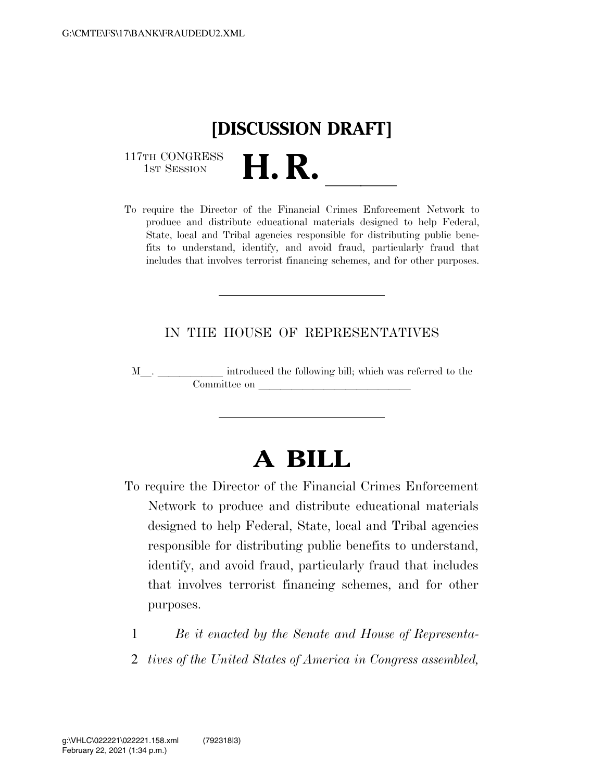# **[DISCUSSION DRAFT]**

117TH CONGRESS<br>1st Session

117TH CONGRESS<br>1st SESSION<br>To require the Director of the Financial Crimes Enforcement Network to produce and distribute educational materials designed to help Federal, State, local and Tribal agencies responsible for distributing public benefits to understand, identify, and avoid fraud, particularly fraud that includes that involves terrorist financing schemes, and for other purposes.

### IN THE HOUSE OF REPRESENTATIVES

<sup>M</sup>l. llllll introduced the following bill; which was referred to the Committee on

## **A BILL**

- To require the Director of the Financial Crimes Enforcement Network to produce and distribute educational materials designed to help Federal, State, local and Tribal agencies responsible for distributing public benefits to understand, identify, and avoid fraud, particularly fraud that includes that involves terrorist financing schemes, and for other purposes.
	- 1 *Be it enacted by the Senate and House of Representa-*
	- 2 *tives of the United States of America in Congress assembled,*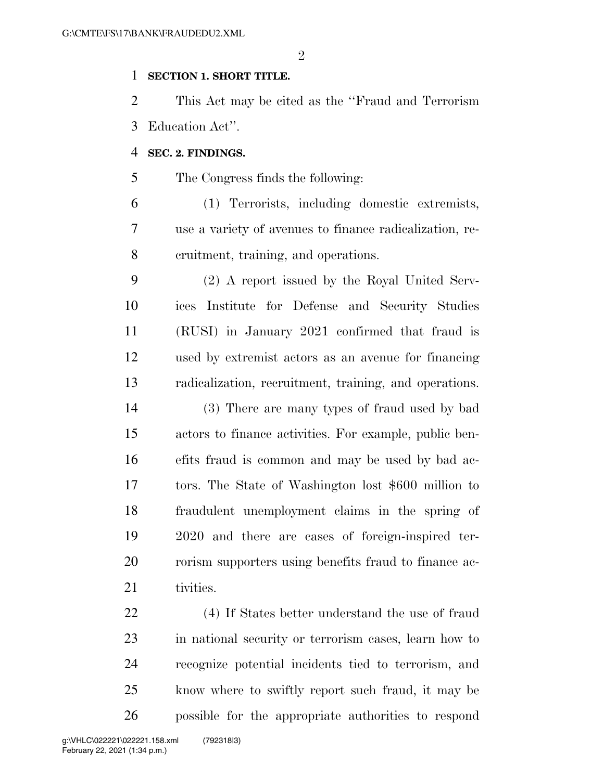$\mathfrak{D}$ 

#### **SECTION 1. SHORT TITLE.**

 This Act may be cited as the ''Fraud and Terrorism Education Act''.

#### **SEC. 2. FINDINGS.**

The Congress finds the following:

 (1) Terrorists, including domestic extremists, use a variety of avenues to finance radicalization, re-cruitment, training, and operations.

 (2) A report issued by the Royal United Serv- ices Institute for Defense and Security Studies (RUSI) in January 2021 confirmed that fraud is used by extremist actors as an avenue for financing radicalization, recruitment, training, and operations.

 (3) There are many types of fraud used by bad actors to finance activities. For example, public ben- efits fraud is common and may be used by bad ac- tors. The State of Washington lost \$600 million to fraudulent unemployment claims in the spring of 2020 and there are cases of foreign-inspired ter- rorism supporters using benefits fraud to finance ac-21 tivities.

 (4) If States better understand the use of fraud in national security or terrorism cases, learn how to recognize potential incidents tied to terrorism, and know where to swiftly report such fraud, it may be possible for the appropriate authorities to respond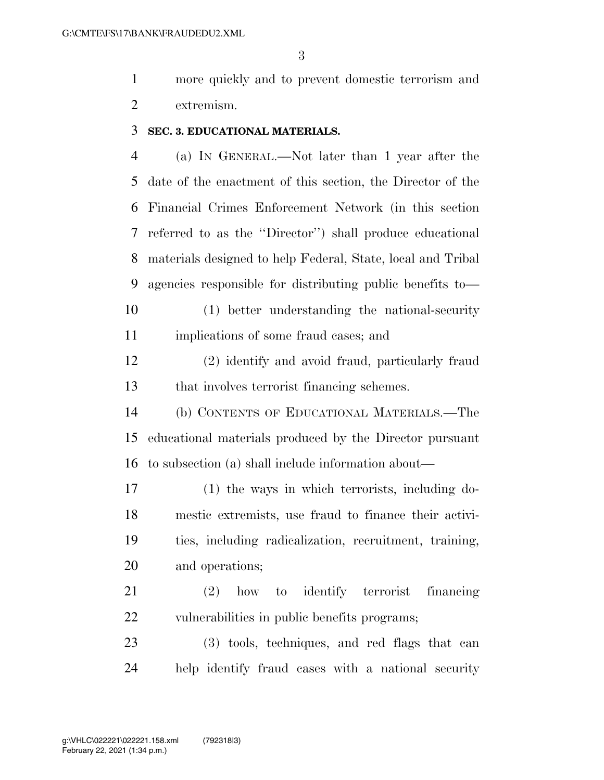more quickly and to prevent domestic terrorism and extremism.

#### **SEC. 3. EDUCATIONAL MATERIALS.**

 (a) IN GENERAL.—Not later than 1 year after the date of the enactment of this section, the Director of the Financial Crimes Enforcement Network (in this section referred to as the ''Director'') shall produce educational materials designed to help Federal, State, local and Tribal agencies responsible for distributing public benefits to— (1) better understanding the national-security

implications of some fraud cases; and

 (2) identify and avoid fraud, particularly fraud that involves terrorist financing schemes.

 (b) CONTENTS OF EDUCATIONAL MATERIALS.—The educational materials produced by the Director pursuant to subsection (a) shall include information about—

 (1) the ways in which terrorists, including do- mestic extremists, use fraud to finance their activi- ties, including radicalization, recruitment, training, and operations;

 (2) how to identify terrorist financing vulnerabilities in public benefits programs;

 (3) tools, techniques, and red flags that can help identify fraud cases with a national security